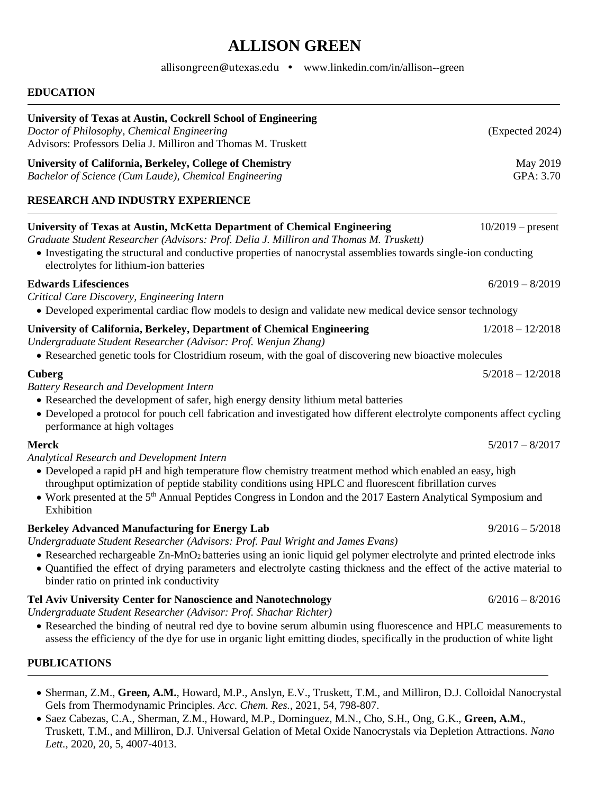# **ALLISON GREEN**

[allisongreen@utexas.edu](mailto:allisongreen@utexas.edu) • [www.linkedin.com/in/allison--green](http://www.linkedin.com/in/allison--green)

## **EDUCATION University of Texas at Austin, Cockrell School of Engineering** *Doctor of Philosophy, Chemical Engineering* (Expected 2024) Advisors: Professors Delia J. Milliron and Thomas M. Truskett **University of California, Berkeley, College of Chemistry <b>May 2019** May 2019 *Bachelor of Science (Cum Laude), Chemical Engineering* GPA: 3.70 **RESEARCH AND INDUSTRY EXPERIENCE University of Texas at Austin, McKetta Department of Chemical Engineering** 10/2019 – present *Graduate Student Researcher (Advisors: Prof. Delia J. Milliron and Thomas M. Truskett)* • Investigating the structural and conductive properties of nanocrystal assemblies towards single-ion conducting electrolytes for lithium-ion batteries **Edwards Lifesciences** 6/2019 – 8/2019 *Critical Care Discovery, Engineering Intern* • Developed experimental cardiac flow models to design and validate new medical device sensor technology **University of California, Berkeley, Department of Chemical Engineering** 1/2018 – 12/2018 *Undergraduate Student Researcher (Advisor: Prof. Wenjun Zhang)* • Researched genetic tools for Clostridium roseum, with the goal of discovering new bioactive molecules **Cuberg** 5/2018 – 12/2018 *Battery Research and Development Intern* • Researched the development of safer, high energy density lithium metal batteries • Developed a protocol for pouch cell fabrication and investigated how different electrolyte components affect cycling performance at high voltages **Merck** 5/2017 – 8/2017 *Analytical Research and Development Intern* • Developed a rapid pH and high temperature flow chemistry treatment method which enabled an easy, high throughput optimization of peptide stability conditions using HPLC and fluorescent fibrillation curves • Work presented at the 5<sup>th</sup> Annual Peptides Congress in London and the 2017 Eastern Analytical Symposium and Exhibition **Berkeley Advanced Manufacturing for Energy Lab** 9/2016 – 5/2018 *Undergraduate Student Researcher (Advisors: Prof. Paul Wright and James Evans)* • Researched rechargeable Zn-MnO2 batteries using an ionic liquid gel polymer electrolyte and printed electrode inks • Quantified the effect of drying parameters and electrolyte casting thickness and the effect of the active material to binder ratio on printed ink conductivity **Tel Aviv University Center for Nanoscience and Nanotechnology** 6/2016 – 8/2016 *Undergraduate Student Researcher (Advisor: Prof. Shachar Richter)* • Researched the binding of neutral red dye to bovine serum albumin using fluorescence and HPLC measurements to assess the efficiency of the dye for use in organic light emitting diodes, specifically in the production of white light

#### **PUBLICATIONS**

- Sherman, Z.M., **Green, A.M.**, Howard, M.P., Anslyn, E.V., Truskett, T.M., and Milliron, D.J. Colloidal Nanocrystal Gels from Thermodynamic Principles*. Acc. Chem. Res.,* 2021, 54, 798-807.
- Saez Cabezas, C.A., Sherman, Z.M., Howard, M.P., Dominguez, M.N., Cho, S.H., Ong, G.K., **Green, A.M.**, Truskett, T.M., and Milliron, D.J. Universal Gelation of Metal Oxide Nanocrystals via Depletion Attractions. *Nano Lett.,* 2020, 20, 5, 4007-4013.